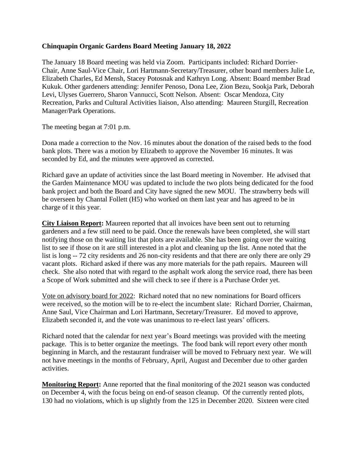## **Chinquapin Organic Gardens Board Meeting January 18, 2022**

The January 18 Board meeting was held via Zoom. Participants included: Richard Dorrier-Chair, Anne Saul-Vice Chair, Lori Hartmann-Secretary/Treasurer, other board members Julie Le, Elizabeth Charles, Ed Mensh, Stacey Potosnak and Kathryn Long. Absent: Board member Brad Kukuk. Other gardeners attending: Jennifer Penoso, Dona Lee, Zion Bezu, Sookja Park, Deborah Levi, Ulyses Guerrero, Sharon Vannucci, Scott Nelson. Absent: Oscar Mendoza, City Recreation, Parks and Cultural Activities liaison, Also attending: Maureen Sturgill, Recreation Manager/Park Operations.

The meeting began at 7:01 p.m.

Dona made a correction to the Nov. 16 minutes about the donation of the raised beds to the food bank plots. There was a motion by Elizabeth to approve the November 16 minutes. It was seconded by Ed, and the minutes were approved as corrected.

Richard gave an update of activities since the last Board meeting in November. He advised that the Garden Maintenance MOU was updated to include the two plots being dedicated for the food bank project and both the Board and City have signed the new MOU. The strawberry beds will be overseen by Chantal Follett (H5) who worked on them last year and has agreed to be in charge of it this year.

**City Liaison Report:** Maureen reported that all invoices have been sent out to returning gardeners and a few still need to be paid. Once the renewals have been completed, she will start notifying those on the waiting list that plots are available. She has been going over the waiting list to see if those on it are still interested in a plot and cleaning up the list. Anne noted that the list is long -- 72 city residents and 26 non-city residents and that there are only there are only 29 vacant plots. Richard asked if there was any more materials for the path repairs. Maureen will check. She also noted that with regard to the asphalt work along the service road, there has been a Scope of Work submitted and she will check to see if there is a Purchase Order yet.

Vote on advisory board for 2022: Richard noted that no new nominations for Board officers were received, so the motion will be to re-elect the incumbent slate: Richard Dorrier, Chairman, Anne Saul, Vice Chairman and Lori Hartmann, Secretary/Treasurer. Ed moved to approve, Elizabeth seconded it, and the vote was unanimous to re-elect last years' officers.

Richard noted that the calendar for next year's Board meetings was provided with the meeting package. This is to better organize the meetings. The food bank will report every other month beginning in March, and the restaurant fundraiser will be moved to February next year. We will not have meetings in the months of February, April, August and December due to other garden activities.

**Monitoring Report:** Anne reported that the final monitoring of the 2021 season was conducted on December 4, with the focus being on end-of season cleanup. Of the currently rented plots, 130 had no violations, which is up slightly from the 125 in December 2020. Sixteen were cited